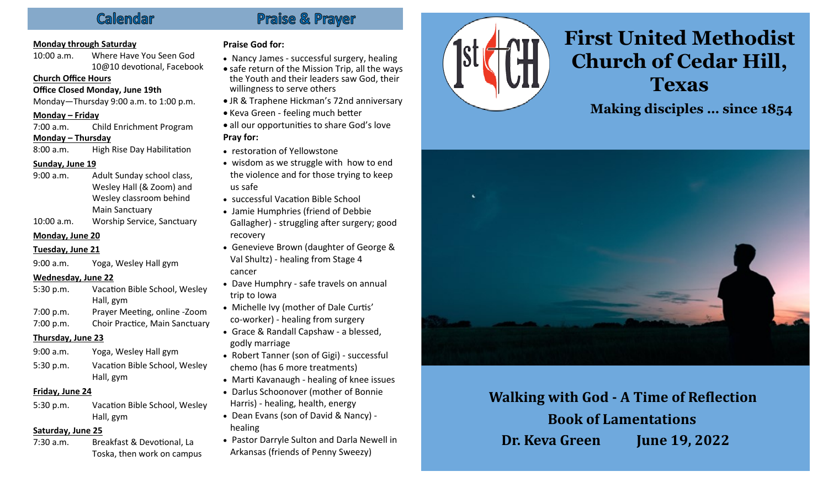### Callemdar

### **Monday through Saturday**

10:00 a.m. Where Have You Seen God 10@10 devotional, Facebook

#### **Church Office Hours**

**Office Closed Monday, June 19th**

Monday—Thursday 9:00 a.m. to 1:00 p.m.

#### **Monday – Friday**

7:00 a.m. Child Enrichment Program **Monday – Thursday**

8:00 a.m. High Rise Day Habilitation

#### **Sunday, June 19**

- 9:00 a.m. Adult Sunday school class, Wesley Hall (& Zoom) and Wesley classroom behind Main Sanctuary
- 10:00 a.m. Worship Service, Sanctuary

#### **Monday, June 20**

#### **Tuesday, June 21**

9:00 a.m. Yoga, Wesley Hall gym

#### **Wednesday, June 22**

| 5:30 p.m. | Vacation Bible School, Wesley  |
|-----------|--------------------------------|
|           | Hall, gym                      |
| 7:00 p.m. | Prayer Meeting, online -Zoom   |
| 7:00 p.m. | Choir Practice, Main Sanctuary |

#### **Thursday, June 23**

| 9:00 a.m. | Yoga, Wesley Hall gym         |
|-----------|-------------------------------|
| 5:30 p.m. | Vacation Bible School, Wesley |
|           | Hall, gym                     |

#### **Friday, June 24**

5:30 p.m. Vacation Bible School, Wesley Hall, gym

#### **Saturday, June 25**

7:30 a.m. Breakfast & Devotional, La Toska, then work on campus

### **Praise God for:**

• Nancy James - successful surgery, healing

Praise & Prayer

- safe return of the Mission Trip, all the ways the Youth and their leaders saw God, their willingness to serve others
- JR & Traphene Hickman's 72nd anniversary
- Keva Green feeling much better
- all our opportunities to share God's love **Pray for:**
- restoration of Yellowstone
- wisdom as we struggle with how to end the violence and for those trying to keep us safe
- successful Vacation Bible School
- Jamie Humphries (friend of Debbie
- Gallagher) struggling after surgery; good recovery
- Genevieve Brown (daughter of George & Val Shultz) - healing from Stage 4 cancer

- Dave Humphry safe travels on annual trip to Iowa
- Michelle Ivy (mother of Dale Curtis' co-worker) - healing from surgery
- Grace & Randall Capshaw a blessed, godly marriage
- Robert Tanner (son of Gigi) successful chemo (has 6 more treatments)
- Marti Kavanaugh healing of knee issues
- Darlus Schoonover (mother of Bonnie Harris) - healing, health, energy
- Dean Evans (son of David & Nancy) healing
- Pastor Darryle Sulton and Darla Newell in Arkansas (friends of Penny Sweezy)



# **First United Methodist Church of Cedar Hill, Texas**

**Making disciples … since 1854**



**Walking with God - A Time of Reflection Book of Lamentations Dr. Keva Green June 19, 2022**